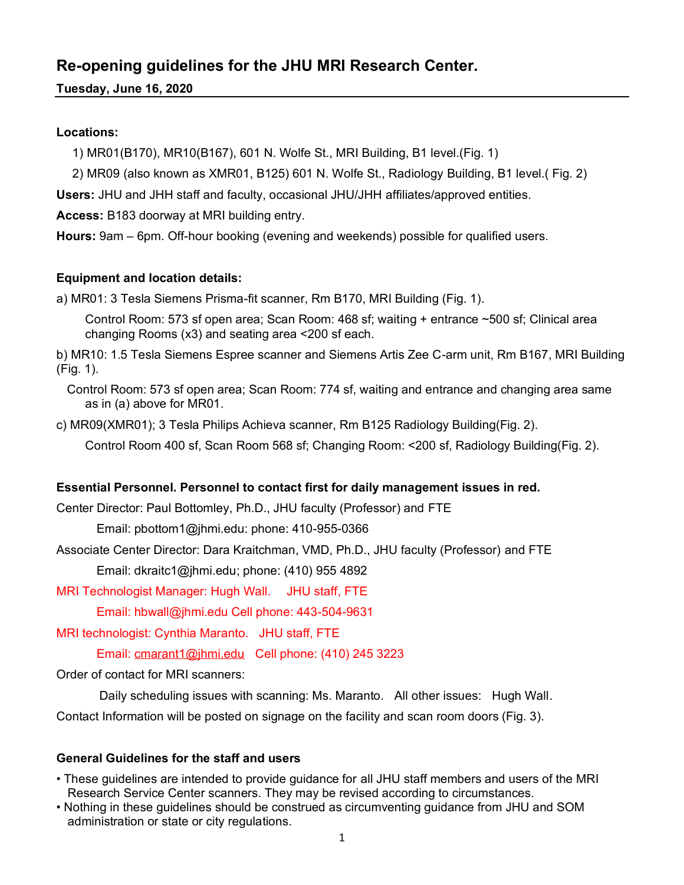#### **Re-opening guidelines for the JHU MRI Research Center.**

**Tuesday, June 16, 2020**

#### **Locations:**

1) MR01(B170), MR10(B167), 601 N. Wolfe St., MRI Building, B1 level.(Fig. 1)

2) MR09 (also known as XMR01, B125) 601 N. Wolfe St., Radiology Building, B1 level.( Fig. 2)

**Users:** JHU and JHH staff and faculty, occasional JHU/JHH affiliates/approved entities.

**Access:** B183 doorway at MRI building entry.

**Hours:** 9am – 6pm. Off-hour booking (evening and weekends) possible for qualified users.

#### **Equipment and location details:**

a) MR01: 3 Tesla Siemens Prisma-fit scanner, Rm B170, MRI Building (Fig. 1).

 Control Room: 573 sf open area; Scan Room: 468 sf; waiting + entrance ~500 sf; Clinical area changing Rooms (x3) and seating area <200 sf each.

b) MR10: 1.5 Tesla Siemens Espree scanner and Siemens Artis Zee C-arm unit, Rm B167, MRI Building (Fig. 1).

 Control Room: 573 sf open area; Scan Room: 774 sf, waiting and entrance and changing area same as in (a) above for MR01.

c) MR09(XMR01); 3 Tesla Philips Achieva scanner, Rm B125 Radiology Building(Fig. 2).

Control Room 400 sf, Scan Room 568 sf; Changing Room: <200 sf, Radiology Building(Fig. 2).

#### **Essential Personnel. Personnel to contact first for daily management issues in red.**

Center Director: Paul Bottomley, Ph.D., JHU faculty (Professor) and FTE

Email: pbottom1@jhmi.edu: phone: 410-955-0366

Associate Center Director: Dara Kraitchman, VMD, Ph.D., JHU faculty (Professor) and FTE

Email: dkraitc1@jhmi.edu; phone: (410) 955 4892

MRI Technologist Manager: Hugh Wall. JHU staff, FTE

Email: hbwall@jhmi.edu Cell phone: 443-504-9631

MRI technologist: Cynthia Maranto. JHU staff, FTE

Email: [cmarant1@jhmi.edu](mailto:cmarant1@jhmi.edu) Cell phone: (410) 245 3223

Order of contact for MRI scanners:

 Daily scheduling issues with scanning: Ms. Maranto. All other issues: Hugh Wall. Contact Information will be posted on signage on the facility and scan room doors (Fig. 3).

#### **General Guidelines for the staff and users**

- These guidelines are intended to provide guidance for all JHU staff members and users of the MRI Research Service Center scanners. They may be revised according to circumstances.
- Nothing in these guidelines should be construed as circumventing guidance from JHU and SOM administration or state or city regulations.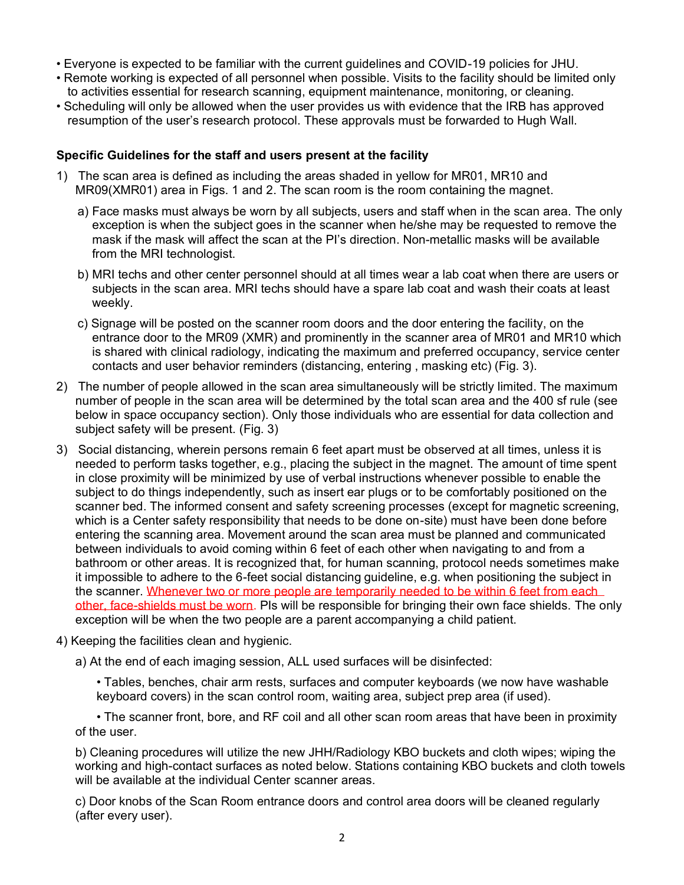- Everyone is expected to be familiar with the current guidelines and COVID-19 policies for JHU.
- Remote working is expected of all personnel when possible. Visits to the facility should be limited only to activities essential for research scanning, equipment maintenance, monitoring, or cleaning.
- Scheduling will only be allowed when the user provides us with evidence that the IRB has approved resumption of the user's research protocol. These approvals must be forwarded to Hugh Wall.

#### **Specific Guidelines for the staff and users present at the facility**

- 1) The scan area is defined as including the areas shaded in yellow for MR01, MR10 and MR09(XMR01) area in Figs. 1 and 2. The scan room is the room containing the magnet.
	- a) Face masks must always be worn by all subjects, users and staff when in the scan area. The only exception is when the subject goes in the scanner when he/she may be requested to remove the mask if the mask will affect the scan at the PI's direction. Non-metallic masks will be available from the MRI technologist.
	- b) MRI techs and other center personnel should at all times wear a lab coat when there are users or subjects in the scan area. MRI techs should have a spare lab coat and wash their coats at least weekly.
	- c) Signage will be posted on the scanner room doors and the door entering the facility, on the entrance door to the MR09 (XMR) and prominently in the scanner area of MR01 and MR10 which is shared with clinical radiology, indicating the maximum and preferred occupancy, service center contacts and user behavior reminders (distancing, entering , masking etc) (Fig. 3).
- 2) The number of people allowed in the scan area simultaneously will be strictly limited. The maximum number of people in the scan area will be determined by the total scan area and the 400 sf rule (see below in space occupancy section). Only those individuals who are essential for data collection and subject safety will be present. (Fig. 3)
- 3) Social distancing, wherein persons remain 6 feet apart must be observed at all times, unless it is needed to perform tasks together, e.g., placing the subject in the magnet. The amount of time spent in close proximity will be minimized by use of verbal instructions whenever possible to enable the subject to do things independently, such as insert ear plugs or to be comfortably positioned on the scanner bed. The informed consent and safety screening processes (except for magnetic screening, which is a Center safety responsibility that needs to be done on-site) must have been done before entering the scanning area. Movement around the scan area must be planned and communicated between individuals to avoid coming within 6 feet of each other when navigating to and from a bathroom or other areas. It is recognized that, for human scanning, protocol needs sometimes make it impossible to adhere to the 6-feet social distancing guideline, e.g. when positioning the subject in the scanner. Whenever two or more people are temporarily needed to be within 6 feet from each other, face-shields must be worn. PIs will be responsible for bringing their own face shields. The only exception will be when the two people are a parent accompanying a child patient.
- 4) Keeping the facilities clean and hygienic.
	- a) At the end of each imaging session, ALL used surfaces will be disinfected:

• Tables, benches, chair arm rests, surfaces and computer keyboards (we now have washable keyboard covers) in the scan control room, waiting area, subject prep area (if used).

• The scanner front, bore, and RF coil and all other scan room areas that have been in proximity of the user.

 b) Cleaning procedures will utilize the new JHH/Radiology KBO buckets and cloth wipes; wiping the working and high-contact surfaces as noted below. Stations containing KBO buckets and cloth towels will be available at the individual Center scanner areas.

 c) Door knobs of the Scan Room entrance doors and control area doors will be cleaned regularly (after every user).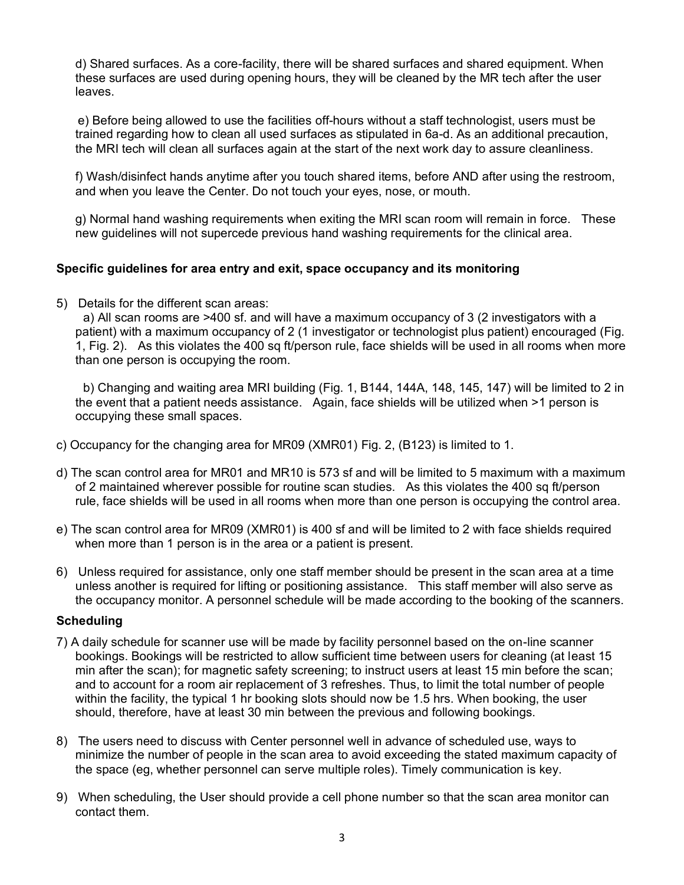d) Shared surfaces. As a core-facility, there will be shared surfaces and shared equipment. When these surfaces are used during opening hours, they will be cleaned by the MR tech after the user leaves.

 e) Before being allowed to use the facilities off-hours without a staff technologist, users must be trained regarding how to clean all used surfaces as stipulated in 6a-d. As an additional precaution, the MRI tech will clean all surfaces again at the start of the next work day to assure cleanliness.

f) Wash/disinfect hands anytime after you touch shared items, before AND after using the restroom, and when you leave the Center. Do not touch your eyes, nose, or mouth.

g) Normal hand washing requirements when exiting the MRI scan room will remain in force. These new guidelines will not supercede previous hand washing requirements for the clinical area.

#### **Specific guidelines for area entry and exit, space occupancy and its monitoring**

5) Details for the different scan areas:

 a) All scan rooms are >400 sf. and will have a maximum occupancy of 3 (2 investigators with a patient) with a maximum occupancy of 2 (1 investigator or technologist plus patient) encouraged (Fig. 1, Fig. 2). As this violates the 400 sq ft/person rule, face shields will be used in all rooms when more than one person is occupying the room.

 b) Changing and waiting area MRI building (Fig. 1, B144, 144A, 148, 145, 147) will be limited to 2 in the event that a patient needs assistance. Again, face shields will be utilized when >1 person is occupying these small spaces.

- c) Occupancy for the changing area for MR09 (XMR01) Fig. 2, (B123) is limited to 1.
- d) The scan control area for MR01 and MR10 is 573 sf and will be limited to 5 maximum with a maximum of 2 maintained wherever possible for routine scan studies. As this violates the 400 sq ft/person rule, face shields will be used in all rooms when more than one person is occupying the control area.
- e) The scan control area for MR09 (XMR01) is 400 sf and will be limited to 2 with face shields required when more than 1 person is in the area or a patient is present.
- 6) Unless required for assistance, only one staff member should be present in the scan area at a time unless another is required for lifting or positioning assistance. This staff member will also serve as the occupancy monitor. A personnel schedule will be made according to the booking of the scanners.

#### **Scheduling**

- 7) A daily schedule for scanner use will be made by facility personnel based on the on-line scanner bookings. Bookings will be restricted to allow sufficient time between users for cleaning (at least 15 min after the scan); for magnetic safety screening; to instruct users at least 15 min before the scan; and to account for a room air replacement of 3 refreshes. Thus, to limit the total number of people within the facility, the typical 1 hr booking slots should now be 1.5 hrs. When booking, the user should, therefore, have at least 30 min between the previous and following bookings.
- 8) The users need to discuss with Center personnel well in advance of scheduled use, ways to minimize the number of people in the scan area to avoid exceeding the stated maximum capacity of the space (eg, whether personnel can serve multiple roles). Timely communication is key.
- 9) When scheduling, the User should provide a cell phone number so that the scan area monitor can contact them.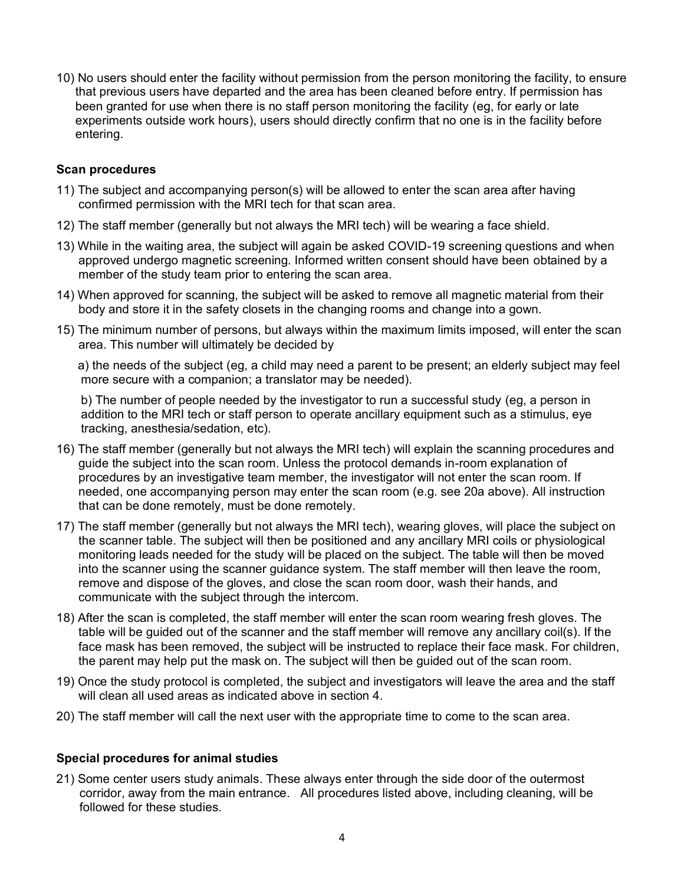10) No users should enter the facility without permission from the person monitoring the facility, to ensure that previous users have departed and the area has been cleaned before entry. If permission has been granted for use when there is no staff person monitoring the facility (eg, for early or late experiments outside work hours), users should directly confirm that no one is in the facility before entering.

#### **Scan procedures**

- 11) The subject and accompanying person(s) will be allowed to enter the scan area after having confirmed permission with the MRI tech for that scan area.
- 12) The staff member (generally but not always the MRI tech) will be wearing a face shield.
- 13) While in the waiting area, the subject will again be asked COVID-19 screening questions and when approved undergo magnetic screening. Informed written consent should have been obtained by a member of the study team prior to entering the scan area.
- 14) When approved for scanning, the subject will be asked to remove all magnetic material from their body and store it in the safety closets in the changing rooms and change into a gown.
- 15) The minimum number of persons, but always within the maximum limits imposed, will enter the scan area. This number will ultimately be decided by

 a) the needs of the subject (eg, a child may need a parent to be present; an elderly subject may feel more secure with a companion; a translator may be needed).

b) The number of people needed by the investigator to run a successful study (eg, a person in addition to the MRI tech or staff person to operate ancillary equipment such as a stimulus, eye tracking, anesthesia/sedation, etc).

- 16) The staff member (generally but not always the MRI tech) will explain the scanning procedures and guide the subject into the scan room. Unless the protocol demands in-room explanation of procedures by an investigative team member, the investigator will not enter the scan room. If needed, one accompanying person may enter the scan room (e.g. see 20a above). All instruction that can be done remotely, must be done remotely.
- 17) The staff member (generally but not always the MRI tech), wearing gloves, will place the subject on the scanner table. The subject will then be positioned and any ancillary MRI coils or physiological monitoring leads needed for the study will be placed on the subject. The table will then be moved into the scanner using the scanner guidance system. The staff member will then leave the room, remove and dispose of the gloves, and close the scan room door, wash their hands, and communicate with the subject through the intercom.
- 18) After the scan is completed, the staff member will enter the scan room wearing fresh gloves. The table will be guided out of the scanner and the staff member will remove any ancillary coil(s). If the face mask has been removed, the subject will be instructed to replace their face mask. For children, the parent may help put the mask on. The subject will then be guided out of the scan room.
- 19) Once the study protocol is completed, the subject and investigators will leave the area and the staff will clean all used areas as indicated above in section 4.
- 20) The staff member will call the next user with the appropriate time to come to the scan area.

#### **Special procedures for animal studies**

21) Some center users study animals. These always enter through the side door of the outermost corridor, away from the main entrance. All procedures listed above, including cleaning, will be followed for these studies.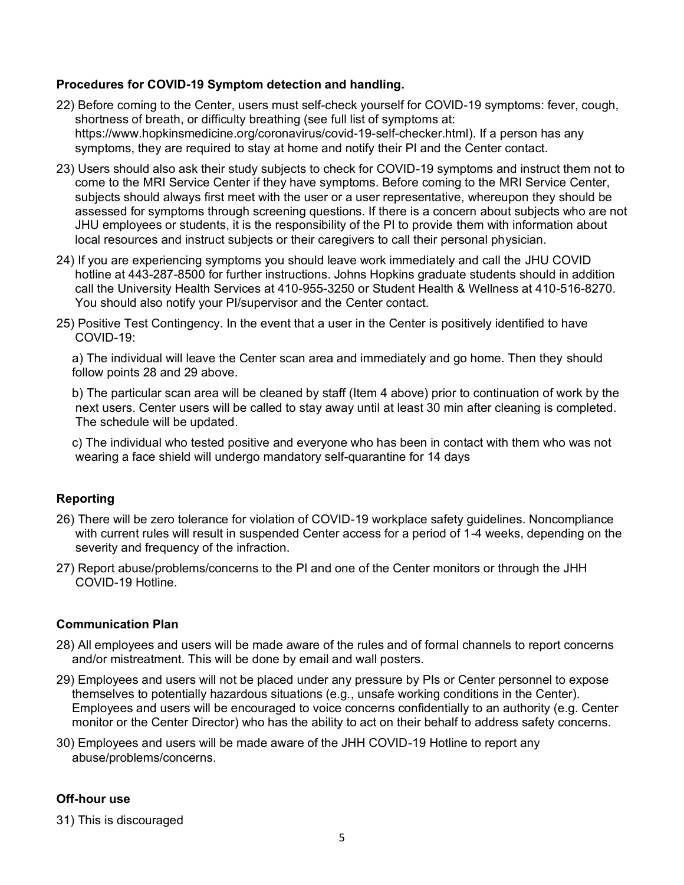#### **Procedures for COVID-19 Symptom detection and handling.**

- 22) Before coming to the Center, users must self-check yourself for COVID-19 symptoms: fever, cough, shortness of breath, or difficulty breathing (see full list of symptoms at: [https://www.hopkinsmedicine.org/coronavirus/covid-19-self-checker.html\)](https://www.hopkinsmedicine.org/coronavirus/covid-19-self-checker.html). If a person has any symptoms, they are required to stay at home and notify their PI and the Center contact.
- 23) Users should also ask their study subjects to check for COVID-19 symptoms and instruct them not to come to the MRI Service Center if they have symptoms. Before coming to the MRI Service Center, subjects should always first meet with the user or a user representative, whereupon they should be assessed for symptoms through screening questions. If there is a concern about subjects who are not JHU employees or students, it is the responsibility of the PI to provide them with information about local resources and instruct subjects or their caregivers to call their personal physician.
- 24) If you are experiencing symptoms you should leave work immediately and call the JHU COVID hotline at 443-287-8500 for further instructions. Johns Hopkins graduate students should in addition call the University Health Services at 410-955-3250 or Student Health & Wellness at 410-516-8270. You should also notify your PI/supervisor and the Center contact.
- 25) Positive Test Contingency. In the event that a user in the Center is positively identified to have COVID-19:

a) The individual will leave the Center scan area and immediately and go home. Then they should follow points 28 and 29 above.

b) The particular scan area will be cleaned by staff (Item 4 above) prior to continuation of work by the next users. Center users will be called to stay away until at least 30 min after cleaning is completed. The schedule will be updated.

c) The individual who tested positive and everyone who has been in contact with them who was not wearing a face shield will undergo mandatory self-quarantine for 14 days

#### **Reporting**

- 26) There will be zero tolerance for violation of COVID-19 workplace safety guidelines. Noncompliance with current rules will result in suspended Center access for a period of 1-4 weeks, depending on the severity and frequency of the infraction.
- 27) Report abuse/problems/concerns to the PI and one of the Center monitors or through the JHH COVID-19 Hotline.

#### **Communication Plan**

- 28) All employees and users will be made aware of the rules and of formal channels to report concerns and/or mistreatment. This will be done by email and wall posters.
- 29) Employees and users will not be placed under any pressure by PIs or Center personnel to expose themselves to potentially hazardous situations (e.g., unsafe working conditions in the Center). Employees and users will be encouraged to voice concerns confidentially to an authority (e.g. Center monitor or the Center Director) who has the ability to act on their behalf to address safety concerns.
- 30) Employees and users will be made aware of the JHH COVID-19 Hotline to report any abuse/problems/concerns.

#### **Off-hour use**

31) This is discouraged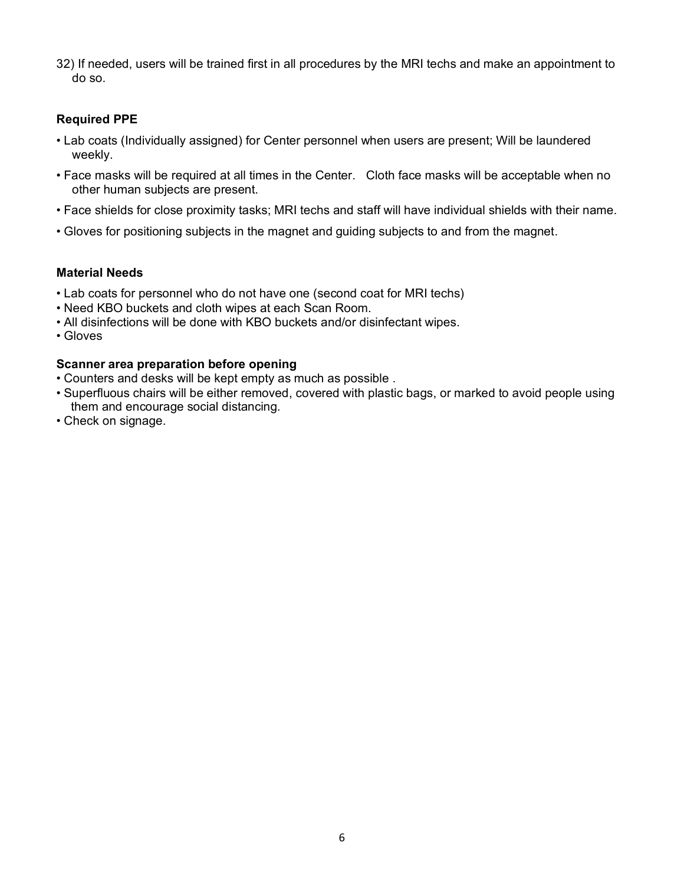32) If needed, users will be trained first in all procedures by the MRI techs and make an appointment to do so.

#### **Required PPE**

- Lab coats (Individually assigned) for Center personnel when users are present; Will be laundered weekly.
- Face masks will be required at all times in the Center. Cloth face masks will be acceptable when no other human subjects are present.
- Face shields for close proximity tasks; MRI techs and staff will have individual shields with their name.
- Gloves for positioning subjects in the magnet and guiding subjects to and from the magnet.

#### **Material Needs**

- Lab coats for personnel who do not have one (second coat for MRI techs)
- Need KBO buckets and cloth wipes at each Scan Room.
- All disinfections will be done with KBO buckets and/or disinfectant wipes.
- Gloves

#### **Scanner area preparation before opening**

- Counters and desks will be kept empty as much as possible .
- Superfluous chairs will be either removed, covered with plastic bags, or marked to avoid people using them and encourage social distancing.
- Check on signage.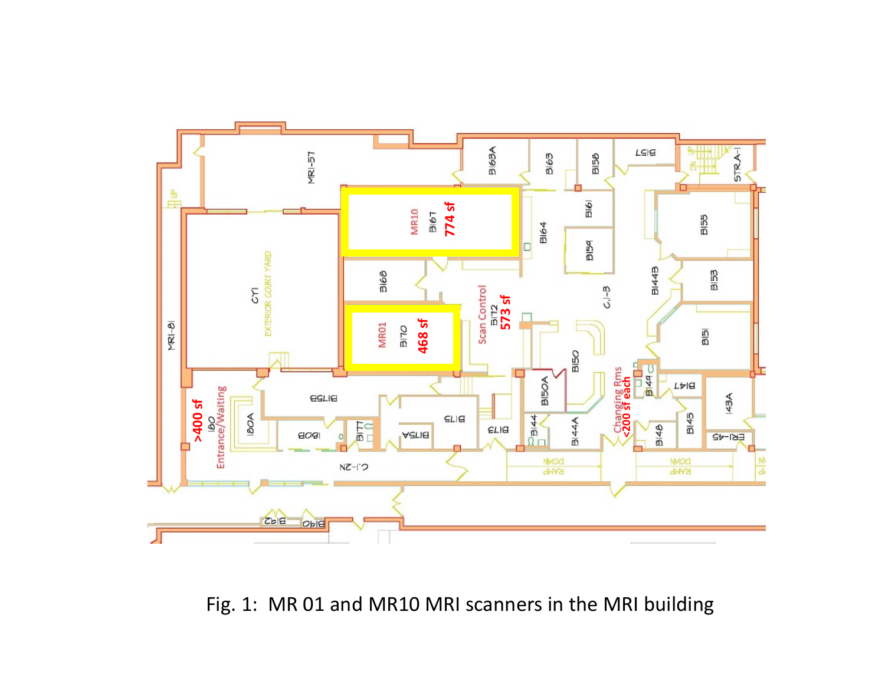

Fig. 1: MR 01 and MR10 MRI scanners in the MRI building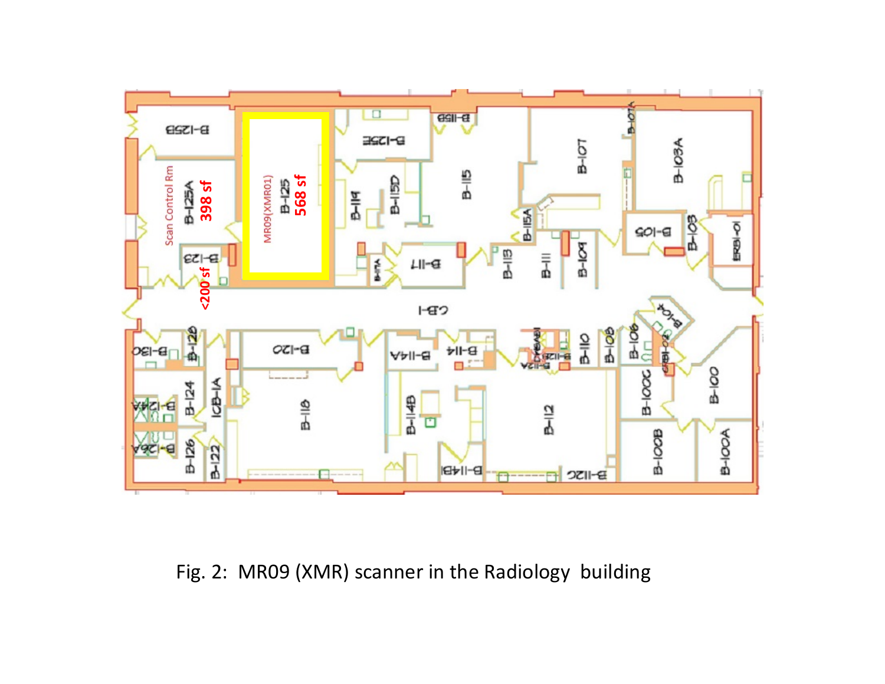

Fig. 2: MR09 (XMR) scanner in the Radiology building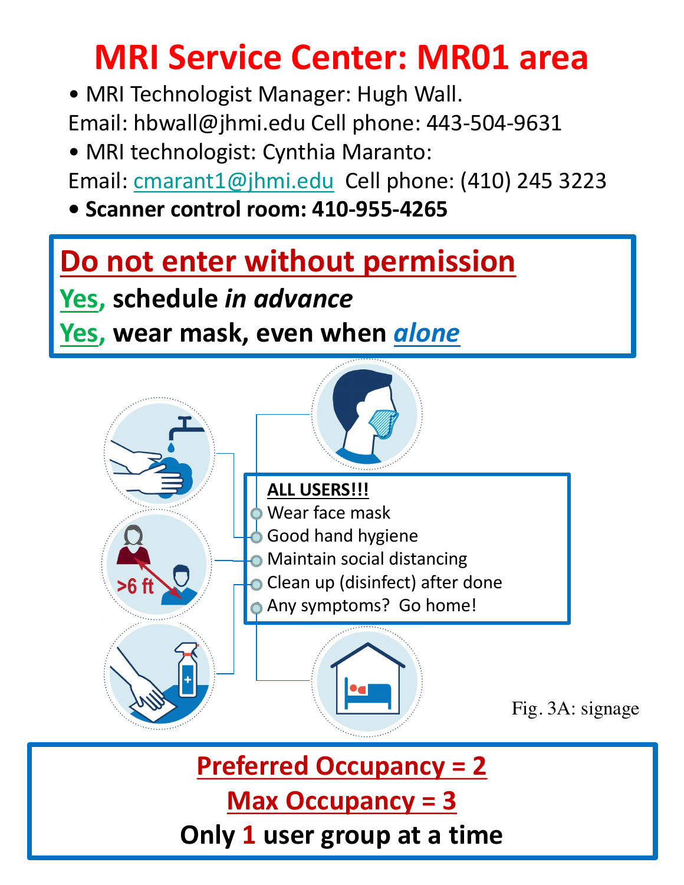# **MRI Service Center: MR01 area**

• MRI Technologist Manager: Hugh Wall.

Email: hbwall@jhmi.edu Cell phone: 443-504-9631

• MRI technologist: Cynthia Maranto:

Email: cmarant1@jhmi.edu Cell phone: (410) 245 3223

**• Scanner control room: 410-955-4265**

## **Do not enter without permission**

**Yes, schedule in advance** 

### **Yes, wear mask, even when** *glone*



**Preferred Occupancy = 2 Max Occupancy = 3** 

**Only 1 user group at a time**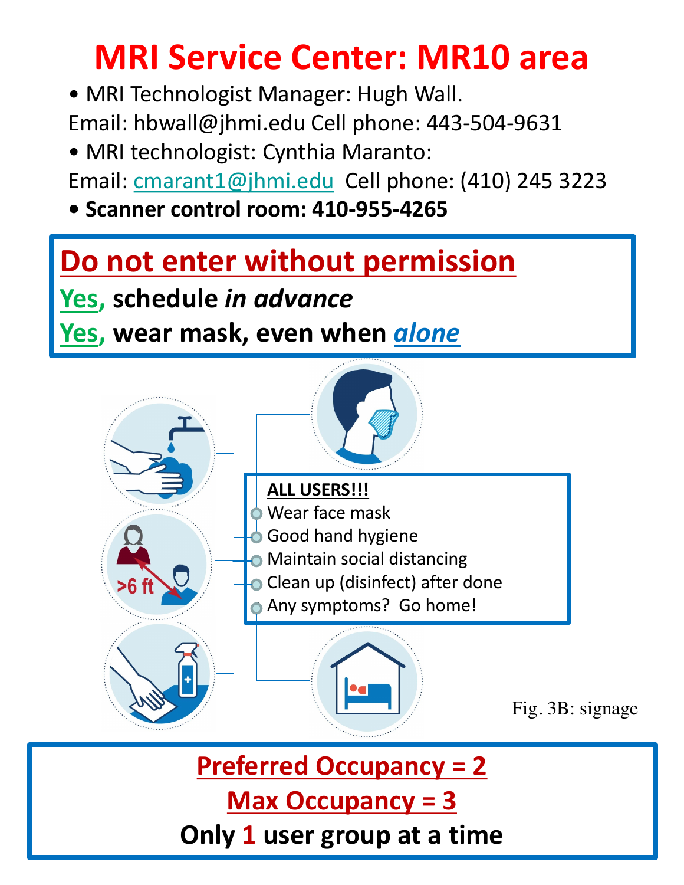# **MRI Service Center: MR10 area**

• MRI Technologist Manager: Hugh Wall.

Email: hbwall@jhmi.edu Cell phone: 443-504-9631

• MRI technologist: Cynthia Maranto:

Email: cmarant1@jhmi.edu Cell phone: (410) 245 3223

**• Scanner control room: 410-955-4265**

## **Do not enter without permission**

**Yes, schedule in advance** 

### *<u>Yes</u>, wear mask, even when <u>alone</u>*



**Preferred Occupancy = 2 Max Occupancy = 3** 

**Only 1 user group at a time**